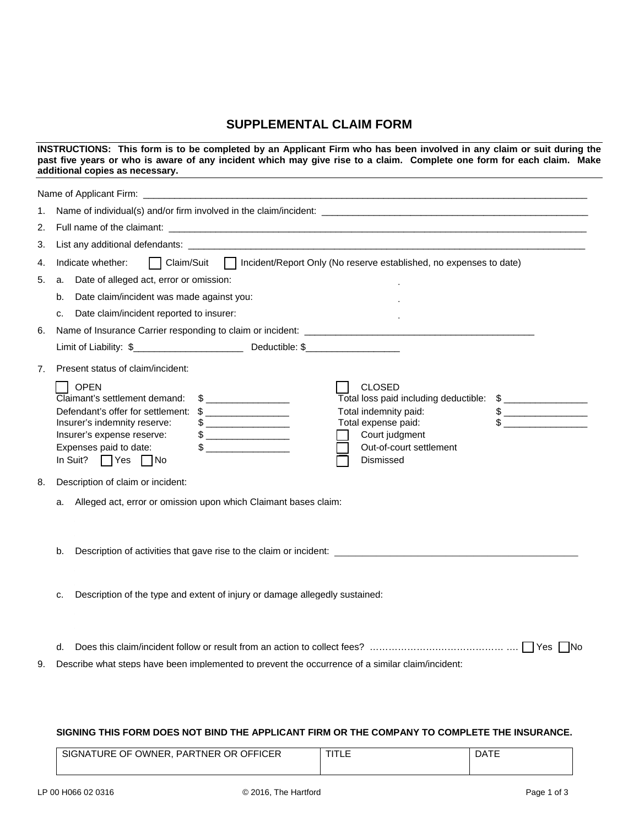## **SUPPLEMENTAL CLAIM FORM**

| INSTRUCTIONS: This form is to be completed by an Applicant Firm who has been involved in any claim or suit during the<br>past five years or who is aware of any incident which may give rise to a claim. Complete one form for each claim. Make<br>additional copies as necessary.<br>and the control of the control of the control of the control of the control of the control of the control of the |                                                                                                                                                                                                                                                                                                                                                                                                                                                                                                                                                                                                                                                                                                                                                                                                                                                                                                                                                                                                                                                                                                                          |  |  |  |
|--------------------------------------------------------------------------------------------------------------------------------------------------------------------------------------------------------------------------------------------------------------------------------------------------------------------------------------------------------------------------------------------------------|--------------------------------------------------------------------------------------------------------------------------------------------------------------------------------------------------------------------------------------------------------------------------------------------------------------------------------------------------------------------------------------------------------------------------------------------------------------------------------------------------------------------------------------------------------------------------------------------------------------------------------------------------------------------------------------------------------------------------------------------------------------------------------------------------------------------------------------------------------------------------------------------------------------------------------------------------------------------------------------------------------------------------------------------------------------------------------------------------------------------------|--|--|--|
|                                                                                                                                                                                                                                                                                                                                                                                                        | Name of Applicant Firm: example and a series of the series of the series of the series of the series of the series of the series of the series of the series of the series of the series of the series of the series of the se                                                                                                                                                                                                                                                                                                                                                                                                                                                                                                                                                                                                                                                                                                                                                                                                                                                                                           |  |  |  |
| 1.                                                                                                                                                                                                                                                                                                                                                                                                     | Name of individual(s) and/or firm involved in the claim/incident:                                                                                                                                                                                                                                                                                                                                                                                                                                                                                                                                                                                                                                                                                                                                                                                                                                                                                                                                                                                                                                                        |  |  |  |
| 2.                                                                                                                                                                                                                                                                                                                                                                                                     |                                                                                                                                                                                                                                                                                                                                                                                                                                                                                                                                                                                                                                                                                                                                                                                                                                                                                                                                                                                                                                                                                                                          |  |  |  |
| 3.                                                                                                                                                                                                                                                                                                                                                                                                     | List any additional defendants: example and any of the state of the state of the state of the state of the state of the state of the state of the state of the state of the state of the state of the state of the state of th                                                                                                                                                                                                                                                                                                                                                                                                                                                                                                                                                                                                                                                                                                                                                                                                                                                                                           |  |  |  |
| 4.                                                                                                                                                                                                                                                                                                                                                                                                     | □ Claim/Suit □ Incident/Report Only (No reserve established, no expenses to date)<br>Indicate whether:                                                                                                                                                                                                                                                                                                                                                                                                                                                                                                                                                                                                                                                                                                                                                                                                                                                                                                                                                                                                                   |  |  |  |
| 5.                                                                                                                                                                                                                                                                                                                                                                                                     | Date of alleged act, error or omission:<br>a.                                                                                                                                                                                                                                                                                                                                                                                                                                                                                                                                                                                                                                                                                                                                                                                                                                                                                                                                                                                                                                                                            |  |  |  |
|                                                                                                                                                                                                                                                                                                                                                                                                        | Date claim/incident was made against you:<br>b.                                                                                                                                                                                                                                                                                                                                                                                                                                                                                                                                                                                                                                                                                                                                                                                                                                                                                                                                                                                                                                                                          |  |  |  |
|                                                                                                                                                                                                                                                                                                                                                                                                        | Date claim/incident reported to insurer:<br>C.                                                                                                                                                                                                                                                                                                                                                                                                                                                                                                                                                                                                                                                                                                                                                                                                                                                                                                                                                                                                                                                                           |  |  |  |
| 6.                                                                                                                                                                                                                                                                                                                                                                                                     |                                                                                                                                                                                                                                                                                                                                                                                                                                                                                                                                                                                                                                                                                                                                                                                                                                                                                                                                                                                                                                                                                                                          |  |  |  |
|                                                                                                                                                                                                                                                                                                                                                                                                        |                                                                                                                                                                                                                                                                                                                                                                                                                                                                                                                                                                                                                                                                                                                                                                                                                                                                                                                                                                                                                                                                                                                          |  |  |  |
| 7.                                                                                                                                                                                                                                                                                                                                                                                                     | Present status of claim/incident:                                                                                                                                                                                                                                                                                                                                                                                                                                                                                                                                                                                                                                                                                                                                                                                                                                                                                                                                                                                                                                                                                        |  |  |  |
|                                                                                                                                                                                                                                                                                                                                                                                                        | <b>OPEN</b><br><b>CLOSED</b><br>Claimant's settlement demand:<br>$\sim$<br>Total loss paid including deductible: \$ _________________<br>Total indemnity paid:<br>$\begin{picture}(20,10) \put(0,0){\line(1,0){100}} \put(15,0){\line(1,0){100}} \put(15,0){\line(1,0){100}} \put(15,0){\line(1,0){100}} \put(15,0){\line(1,0){100}} \put(15,0){\line(1,0){100}} \put(15,0){\line(1,0){100}} \put(15,0){\line(1,0){100}} \put(15,0){\line(1,0){100}} \put(15,0){\line(1,0){100}} \put(15,0){\line(1,0){100}} \$<br>Defendant's offer for settlement: \$<br>Total expense paid:<br>Insurer's indemnity reserve:<br>Insurer's expense reserve:<br>Court judgment<br>Expenses paid to date:<br>$\begin{picture}(20,10) \put(0,0){\line(1,0){10}} \put(15,0){\line(1,0){10}} \put(15,0){\line(1,0){10}} \put(15,0){\line(1,0){10}} \put(15,0){\line(1,0){10}} \put(15,0){\line(1,0){10}} \put(15,0){\line(1,0){10}} \put(15,0){\line(1,0){10}} \put(15,0){\line(1,0){10}} \put(15,0){\line(1,0){10}} \put(15,0){\line(1,0){10}} \put(15,0){\line(1$<br>Out-of-court settlement<br>In Suit? $\Box$ Yes $\Box$ No<br>Dismissed |  |  |  |
| 8.                                                                                                                                                                                                                                                                                                                                                                                                     | Description of claim or incident:                                                                                                                                                                                                                                                                                                                                                                                                                                                                                                                                                                                                                                                                                                                                                                                                                                                                                                                                                                                                                                                                                        |  |  |  |
|                                                                                                                                                                                                                                                                                                                                                                                                        | a.                                                                                                                                                                                                                                                                                                                                                                                                                                                                                                                                                                                                                                                                                                                                                                                                                                                                                                                                                                                                                                                                                                                       |  |  |  |
|                                                                                                                                                                                                                                                                                                                                                                                                        | Description of activities that gave rise to the claim or incident: _________________________________<br>b.                                                                                                                                                                                                                                                                                                                                                                                                                                                                                                                                                                                                                                                                                                                                                                                                                                                                                                                                                                                                               |  |  |  |
|                                                                                                                                                                                                                                                                                                                                                                                                        | Description of the type and extent of injury or damage allegedly sustained:<br>c.                                                                                                                                                                                                                                                                                                                                                                                                                                                                                                                                                                                                                                                                                                                                                                                                                                                                                                                                                                                                                                        |  |  |  |
|                                                                                                                                                                                                                                                                                                                                                                                                        | d.                                                                                                                                                                                                                                                                                                                                                                                                                                                                                                                                                                                                                                                                                                                                                                                                                                                                                                                                                                                                                                                                                                                       |  |  |  |
| 9.                                                                                                                                                                                                                                                                                                                                                                                                     | Describe what steps have been implemented to prevent the occurrence of a similar claim/incident:                                                                                                                                                                                                                                                                                                                                                                                                                                                                                                                                                                                                                                                                                                                                                                                                                                                                                                                                                                                                                         |  |  |  |

## **SIGNING THIS FORM DOES NOT BIND THE APPLICANT FIRM OR THE COMPANY TO COMPLETE THE INSURANCE.**

| URE OF<br>OWNER.<br>OFFICER<br>TNER OR .<br>SIGNA <sub>1</sub><br><b>PART</b> | <b>TIT</b><br>™LL | DA1 |
|-------------------------------------------------------------------------------|-------------------|-----|
|                                                                               |                   |     |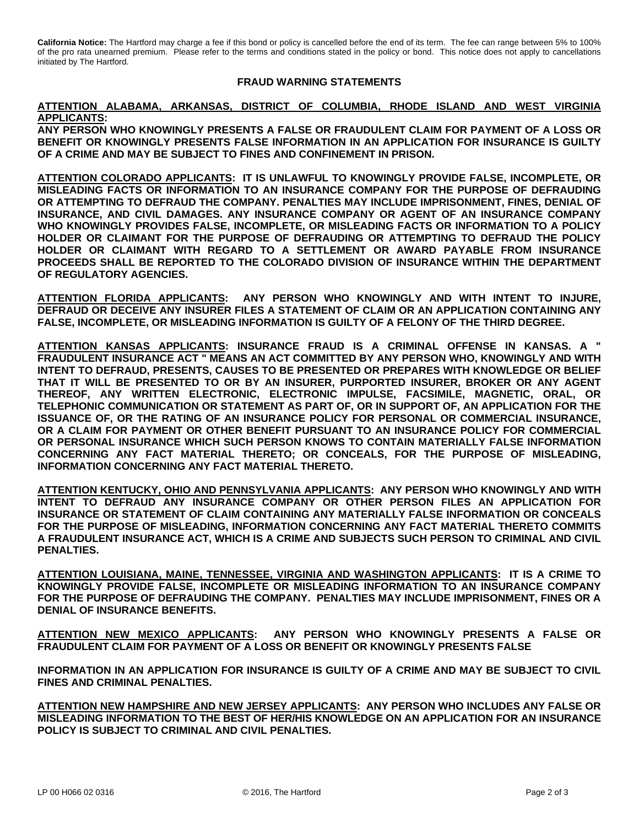**California Notice:** The Hartford may charge a fee if this bond or policy is cancelled before the end of its term. The fee can range between 5% to 100% of the pro rata unearned premium. Please refer to the terms and conditions stated in the policy or bond. This notice does not apply to cancellations initiated by The Hartford.

## **FRAUD WARNING STATEMENTS**

## **ATTENTION ALABAMA, ARKANSAS, DISTRICT OF COLUMBIA, RHODE ISLAND AND WEST VIRGINIA APPLICANTS:**

**ANY PERSON WHO KNOWINGLY PRESENTS A FALSE OR FRAUDULENT CLAIM FOR PAYMENT OF A LOSS OR BENEFIT OR KNOWINGLY PRESENTS FALSE INFORMATION IN AN APPLICATION FOR INSURANCE IS GUILTY OF A CRIME AND MAY BE SUBJECT TO FINES AND CONFINEMENT IN PRISON.** 

**ATTENTION COLORADO APPLICANTS: IT IS UNLAWFUL TO KNOWINGLY PROVIDE FALSE, INCOMPLETE, OR MISLEADING FACTS OR INFORMATION TO AN INSURANCE COMPANY FOR THE PURPOSE OF DEFRAUDING OR ATTEMPTING TO DEFRAUD THE COMPANY. PENALTIES MAY INCLUDE IMPRISONMENT, FINES, DENIAL OF INSURANCE, AND CIVIL DAMAGES. ANY INSURANCE COMPANY OR AGENT OF AN INSURANCE COMPANY WHO KNOWINGLY PROVIDES FALSE, INCOMPLETE, OR MISLEADING FACTS OR INFORMATION TO A POLICY HOLDER OR CLAIMANT FOR THE PURPOSE OF DEFRAUDING OR ATTEMPTING TO DEFRAUD THE POLICY HOLDER OR CLAIMANT WITH REGARD TO A SETTLEMENT OR AWARD PAYABLE FROM INSURANCE PROCEEDS SHALL BE REPORTED TO THE COLORADO DIVISION OF INSURANCE WITHIN THE DEPARTMENT OF REGULATORY AGENCIES.** 

**ATTENTION FLORIDA APPLICANTS: ANY PERSON WHO KNOWINGLY AND WITH INTENT TO INJURE, DEFRAUD OR DECEIVE ANY INSURER FILES A STATEMENT OF CLAIM OR AN APPLICATION CONTAINING ANY FALSE, INCOMPLETE, OR MISLEADING INFORMATION IS GUILTY OF A FELONY OF THE THIRD DEGREE.** 

**ATTENTION KANSAS APPLICANTS: INSURANCE FRAUD IS A CRIMINAL OFFENSE IN KANSAS. A " FRAUDULENT INSURANCE ACT " MEANS AN ACT COMMITTED BY ANY PERSON WHO, KNOWINGLY AND WITH INTENT TO DEFRAUD, PRESENTS, CAUSES TO BE PRESENTED OR PREPARES WITH KNOWLEDGE OR BELIEF THAT IT WILL BE PRESENTED TO OR BY AN INSURER, PURPORTED INSURER, BROKER OR ANY AGENT THEREOF, ANY WRITTEN ELECTRONIC, ELECTRONIC IMPULSE, FACSIMILE, MAGNETIC, ORAL, OR TELEPHONIC COMMUNICATION OR STATEMENT AS PART OF, OR IN SUPPORT OF, AN APPLICATION FOR THE ISSUANCE OF, OR THE RATING OF AN INSURANCE POLICY FOR PERSONAL OR COMMERCIAL INSURANCE, OR A CLAIM FOR PAYMENT OR OTHER BENEFIT PURSUANT TO AN INSURANCE POLICY FOR COMMERCIAL OR PERSONAL INSURANCE WHICH SUCH PERSON KNOWS TO CONTAIN MATERIALLY FALSE INFORMATION CONCERNING ANY FACT MATERIAL THERETO; OR CONCEALS, FOR THE PURPOSE OF MISLEADING, INFORMATION CONCERNING ANY FACT MATERIAL THERETO.** 

**ATTENTION KENTUCKY, OHIO AND PENNSYLVANIA APPLICANTS: ANY PERSON WHO KNOWINGLY AND WITH INTENT TO DEFRAUD ANY INSURANCE COMPANY OR OTHER PERSON FILES AN APPLICATION FOR INSURANCE OR STATEMENT OF CLAIM CONTAINING ANY MATERIALLY FALSE INFORMATION OR CONCEALS FOR THE PURPOSE OF MISLEADING, INFORMATION CONCERNING ANY FACT MATERIAL THERETO COMMITS A FRAUDULENT INSURANCE ACT, WHICH IS A CRIME AND SUBJECTS SUCH PERSON TO CRIMINAL AND CIVIL PENALTIES.** 

**ATTENTION LOUISIANA, MAINE, TENNESSEE, VIRGINIA AND WASHINGTON APPLICANTS: IT IS A CRIME TO KNOWINGLY PROVIDE FALSE, INCOMPLETE OR MISLEADING INFORMATION TO AN INSURANCE COMPANY FOR THE PURPOSE OF DEFRAUDING THE COMPANY. PENALTIES MAY INCLUDE IMPRISONMENT, FINES OR A DENIAL OF INSURANCE BENEFITS.** 

**ATTENTION NEW MEXICO APPLICANTS: ANY PERSON WHO KNOWINGLY PRESENTS A FALSE OR FRAUDULENT CLAIM FOR PAYMENT OF A LOSS OR BENEFIT OR KNOWINGLY PRESENTS FALSE** 

**INFORMATION IN AN APPLICATION FOR INSURANCE IS GUILTY OF A CRIME AND MAY BE SUBJECT TO CIVIL FINES AND CRIMINAL PENALTIES.** 

**ATTENTION NEW HAMPSHIRE AND NEW JERSEY APPLICANTS: ANY PERSON WHO INCLUDES ANY FALSE OR MISLEADING INFORMATION TO THE BEST OF HER/HIS KNOWLEDGE ON AN APPLICATION FOR AN INSURANCE POLICY IS SUBJECT TO CRIMINAL AND CIVIL PENALTIES.**